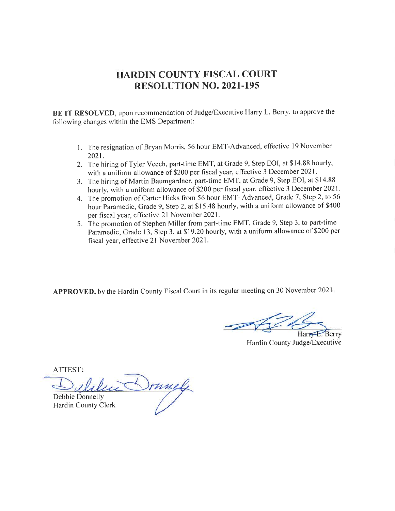## HARDIN COUNTY FISCAL COURT RESOLUTION NO. 2O2I-I95

BE IT RESOLVED, upon recommendation of Judge/Executive Harry L. Berry, to approve the following changes within the EMS Department:

- 1. The resignation of Bryan Morris, 56 hour EMT-Advanced, effective 19 November 2021.
- 2. The hiring of Tyler Veech, part-time EMT, at Grade 9, Step EOI, at \$14.88 hourly, with a uniform allowance of \$200 per fiscal year, effective 3 December 2021 .
- 3. The hiring of Martin Baumgardner, part-time EMT, at Grade 9, Step EOI, at \$14.88 hourly, with a uniform allowance of \$200 per fiscal year, effective 3 December 2021.
- 4. The promotion of Carter Hicks from 56 hour EMT- Advanced, Grade 7, Step 2, to 56 hour Paramedic, Grade 9, Step 2, at \$15.48 hourly, with a uniform allowance of \$400 per fiscal year, effective 2l November 2021 .
- 5. The promotion of Stephen Miller from part-time EMT, Grade 9, Step 3, to paft-time Paramedic, Grade 13, Step 3, at \$19.20 hourly, with a uniform allowance of \$200 per fiscal year, effective 2l November 2021.

APPROVED, by the Hardin County Fiscal Court in its regular meeting on 30 November 2021

Hardin County Judge/Executive

ATTEST

Irmely Debbie Donnelly Hardin County Clerk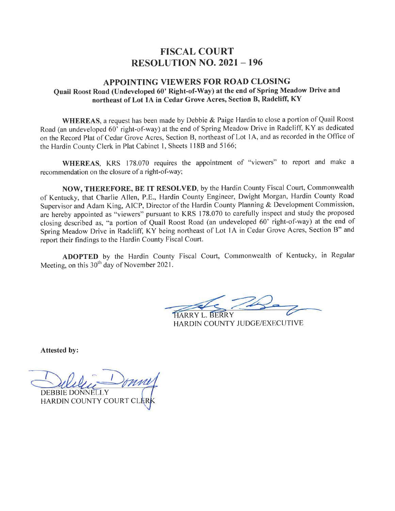## FISCAL COURT RESOLUTION NO.  $2021 - 196$

#### APPOINTING VIEWERS FOR ROAD CLOSING Quail Roost Road (Undeveloped 60' Right-of-Way) at the end of Spring Meadow Drive and northeast of Lot 1A in Cedar Grove Acres, Section B, Radcliff, KY

WHEREAS, a request has been made by Debbie & Paige Hardin to close a portion of Quail Roost Road (an undeveloped 60' right-of-way) at the end of Spring Meadow Drive in Radcliff, KY as dedicated on the Record Plat of Cedar Grove Acres, Section B, northeast of Lot lA, and as recorded in the Office of the Hardin County Clerk in Plat Cabinet 1, Sheets 118B and 5166;

WHEREAS, KRS 178.070 requires the appointment of "viewers" to report and make a recommendation on the closure of a right-of-way;

NOW, THEREFORE, BE IT RESOLVED, by the Hardin County Fiscal Court, Commonwealth of Kentucky, that Charlie Allen, P.E., Hardin County Engineer, Dwight Morgan, Hardin County Road Supervisor and Adam King, AICP, Director of the Hardin County Planning & Development Commission, are hereby appointed as "viewers" pursuant to KRS 178.070 to carefully inspect and study the proposed closing described as, "a portion of Quail Roost Road (an undeveloped 60' right-of-way) at the end of Spring-Meadow Drive in Radcliff; KY being northeast of Lot lA in Cedar Grove Acres, Section B" and report their findings to the Hardin County Fiscal Court.

ADOPTED by the Hardin County Fiscal Court, Commonwealth of Kentucky, in Regular Meeting, on this  $30<sup>th</sup>$  day of November 2021.

HARRY L. BERRY HARDIN COUNTY JUDGE/EXECUTIVE

Attested by:

I DEBBIE DONNELLY HARDIN COUNTY COURT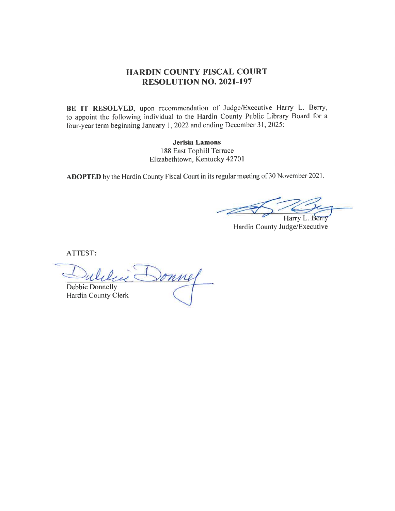## HARDIN COUNTY FISCAL COURT RESOLUTION NO. 2021-197

BE IT RESOLVED, upon recommendation of Judge/Executive Harry L. Berry, to appoint the following individual to the Hardin County Public Library Board for <sup>a</sup> four-year term beginning January 1,2022 and ending December 31,2025:

> Jerisia Lamons 188 East Tophill Terrace Elizabethtown, Kentucky 42701

ADOPTED by the Hardin County Fiscal Court in its regular meeting of 30 November 2021.

Harry L. Berry

Hardin County Judge/Executive

ATTEST

Donnel Debbie Donnelly Hardin County Clerk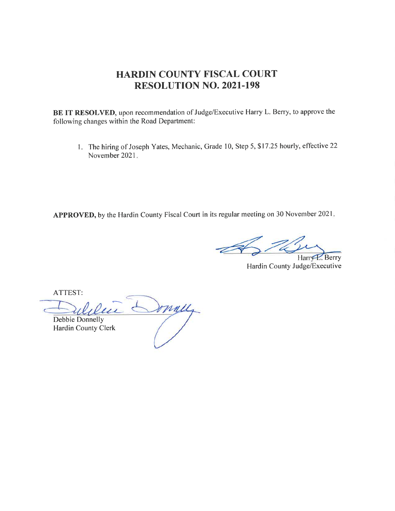## HARDIN COUNTY FISCAL COURT RESOLUTION NO. 202I.I98

BE IT RESOLVED, upon recommendation of Judge/Executive Harry L. Berry, to approve the following changes within the Road Department:

<sup>I</sup>. The hiring of Joseph Yates, Mechanic, Grade 10, Step 5, \$17.25 hourly, effective <sup>22</sup> November 2021

APPROVED, by the Hardin County Fiscal Court in its regular meeting on 30 November 2021.

Harry E. Berry

Hardin County Judge/Executive

ATTEST:

Sommely lu Debbie Donnelly Hardin County Clerk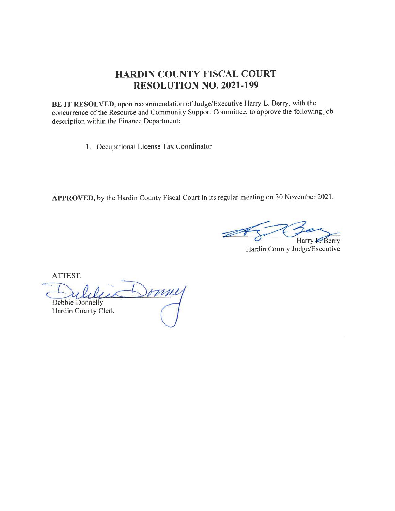## HARDIN COUNTY FISCAL COURT RESOLUTION NO. 2O2I-I99

BE IT RESOLVED, upon recommendation of Judge/Executive Harry L. Berry, with the concurrence of the Resource and Community Support Committee, to approve the following job description within the Finance Department:

l. Occupational License Tax Coordinator

APPROVED, by the Hardin County Fiscal Court in its regular meeting on 30 November 2021.

Berry Harry  $\epsilon$ 

Hardin County Judge/Executive

ATTEST:

Sommy Debbie Donnelly Hardin County Clerk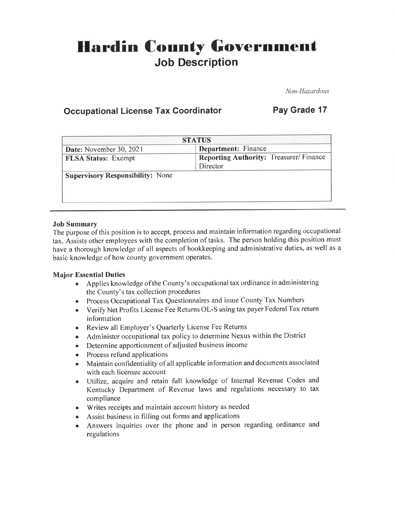# **Hardin County Government** Job Description

Non-Hazardous

## Occupational License Tax Coordinator Pay Grade 17

| <b>STATUS</b>                           |                                        |  |
|-----------------------------------------|----------------------------------------|--|
| Date: November 30, 2021                 | Department: Finance                    |  |
| <b>FLSA Status: Exempt</b>              | Reporting Authority: Treasurer/Finance |  |
|                                         | Director                               |  |
| <b>Supervisory Responsibility: None</b> |                                        |  |
|                                         |                                        |  |
|                                         |                                        |  |

#### Job Summary

The purpose ofthis position is to accept, process and maintain information regarding occupational tax. Assists other employees with the completion of tasks. The person holding this position must have athorough knowledge of all aspects of bookkeeping and administrative duties, as well as <sup>a</sup> basic knowledge of how county government operates.

#### Major Essential Duties

- . Applies knowledge ofthe County's occupationaltax ordinance in administering the County's tax collection procedures
- o Process Occupational Tax Questionnaires and issue County Tax Numbers
- . Verify Net Profits License Fee Retums OL-S using tax payer Federal Tax return information
- Review all Employer's Quarterly License Fee Returns
- o Administer occupational tax policy to determine Nexus within the District
- Determine apportionment of adjusted business income
- Process refund applications
- r Maintain confidentiality of all applicable information and documents associated with each licensee account
- . Utilize, acquire and retain full knowledge of Internal Revenue Codes and Kentucky Department of Revenue laws and regulations necessary to tax compliance
- o Writes receipts and maintain account history as needed
- o Assist business in filling out forms and applications
- o Answers inquiries over the phone and in person regarding ordinance and regulations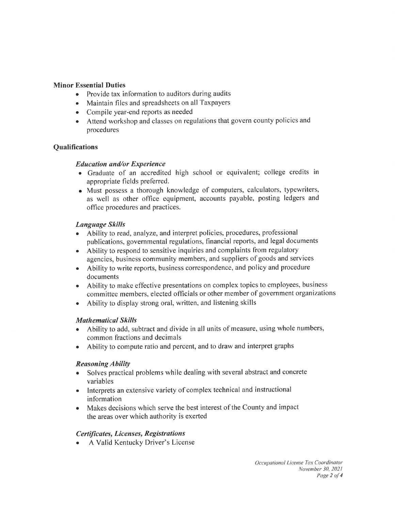#### Minor Essential Duties

- Provide tax information to auditors during audits
- Maintain files and spreadsheets on all Taxpayers
- Compile year-end reports as needed
- o Attend workshop and classes on regulations that govern county policies and procedures

#### **Qualifications**

#### Education und/or Experience

- . Graduate of an accredited high school or equivalent; college credits in appropriate fields preferred.
- o Must possess a thorough knowledge of computers, calculators, typewriters, as well as other office equipment, accounts payable, posting ledgers and office procedures and practices.

#### Language Skills

- Ability to read, analyze, and interpret policies, procedures, professional publications, governmental regulations, financial reports, and legal documents
- . Ability to respond to sensitive inquiries and complaints from regulatory agencies, business community members, and suppliers of goods and services
- . Ability to write repofts, business correspondence, and policy and procedure documents
- o Ability to make effective presentations on complex topics to employees, business committee members, elected officials or other member of government organizations
- o Ability to display strong oral, written, and listening skills

#### **Mathematical Skills**

- o Ability to add, subtract and divide in all units of measure, using whole numbers, common fractions and decimals
- Ability to compute ratio and percent, and to draw and interpret graphs

#### **Reasoning Ability**

- Solves practical problems while dealing with several abstract and concrete variables
- Interprets an extensive variety of complex technical and instructional information
- Makes decisions which serve the best interest of the County and impact the areas over which authority is exerted

#### Certificates, Licenses, Registrations

A Valid Kentucky Driver's License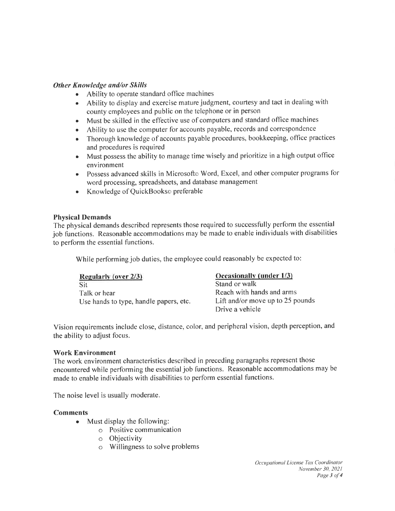#### Other Knowledge and/or Skills

- Ability to operate standard office machines
- . Ability to display and exercise mature judgment, courtesy and tact in dealing with county employees and public on the telephone or in person
- Must be skilled in the effective use of computers and standard office machines
- . Ability to use the computer for accounts payable, records and correspondence
- Thorough knowledge of accounts payable procedures, bookkeeping, office practices and procedures is required
- Must possess the ability to manage time wisely and prioritize in a high output office environment
- o Possess advanced skills in Microsofto Word, Excel, and other computer programs for word processing, spreadsheets, and database management
- Knowledge of QuickBookso preferable

#### Physical Demands

The physical demands described represents those required to successfully perform the essential job functions. Reasonable accommodations may be made to enable individuals with disabilities to perform the essential functions.

While performing job duties, the employee could reasonably be expected to:

| <b>Regularly (over 2/3)</b>            | Occasionally (under 1/3)         |
|----------------------------------------|----------------------------------|
| Sit                                    | Stand or walk                    |
| Talk or hear                           | Reach with hands and arms        |
| Use hands to type, handle papers, etc. | Lift and/or move up to 25 pounds |
|                                        | Drive a vehicle                  |

Vision requirements include close, distance, color, and peripheral vision, depth perception, and the ability to adjust focus.

#### Work Environment

The work environment characteristics described in preceding paragraphs represent those encountered while performing the essential job functions. Reasonable accommodations may be made to enable individuals with disabilities to perform essential functions.

The noise level is usually moderate.

#### Comments

- Must display the following:
	- o Positive communication
	- o Objectivity
	- o Willingness to solve problems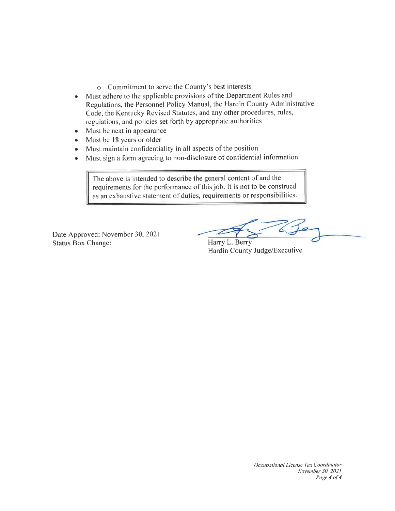- o Commitment to serve the County's best interests
- o Must adhere to the applicable provisions of the Department Rules and Regulations, the Personnel Policy Manual, the Hardin County Administrative Code, the Kentucky Revised Statutes, and any other procedures, rules, regulations, and policies set fofth by appropriate authorities
- Must be neat in appearance
- Must be 18 years or older
- Must maintain confidentiality in all aspects of the position
- o Must sign a form agreeing to non-disclosure of confidential information

The above is intended to describe the general content of and the requirements for the performance of this job. It is not to be construed as an exhaustive statement of duties, requirements or responsibilities.

Date Approved: November 30,2021 Status Box Change: Harry L. Berry

Hardin County Judge/Executive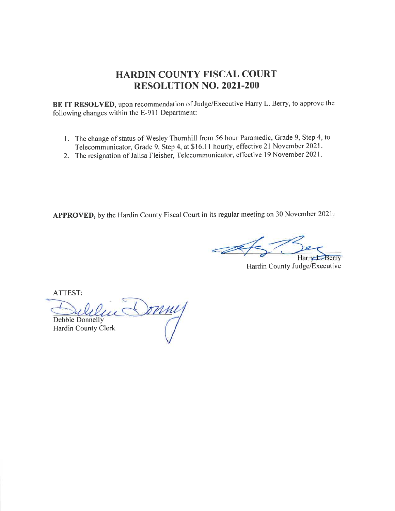## HARDIN COUNTY FISCAL COURT RESOLUTION NO. 2O2I.2OO

BE IT RESOLVED, upon recommendation of Judge/Executive Harry L. Berry, to approve the following changes within the E-91I Department:

- <sup>I</sup>. The change of status of Wesley Thornhill from 56 hour Paramedic, Grade 9, Step 4, to Telecommunicator, Grade 9, Step 4, at \$16.11 hourly, effective 21 November 2021.
- 2. The resignation of Jalisa Fleisher, Telecommunicator, effective 19 November 2021.

APPROVED, by the Hardin County Fiscal Court in its regular meeting on 30 November 2021

Harry Berry

Hardin County Judge/Executive

ATTEST:

Sonny Debbie Donnelly Hardin County Clerk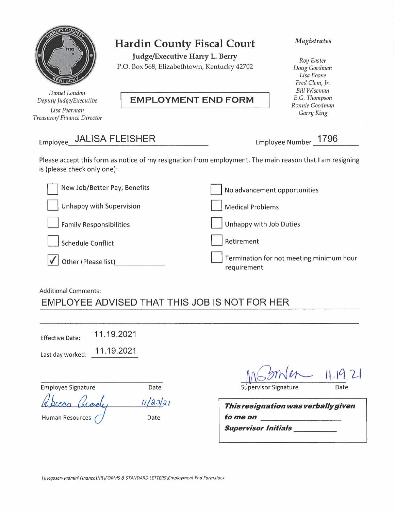

*Daniel London Depuh; Judge/Executive Lisa Pearman Treasurer/ Finance Director* 

## **Hardin County Fiscal Court**

**Judge/Executive Harry L. Berry**  P.O. Box 568, Elizabethtown, Kentucky 42702

## **EMPLOYMENT END FORM**

#### *Magistrates*

*Roy Easter Doug Goodman Lisa Boone Fred Clem, Jr. Bill Wiseman*  E.G. *Thompson Ronnie Goodman Garn; King* 

# Employee JALISA FLEISHER Employee Number **1796**

Please accept this form as notice of my resignation from employment. The main reason that I am resigning is {please check only one):

| New Job/Better Pay, Benefits    | No advancement opportunities                            |
|---------------------------------|---------------------------------------------------------|
| <b>Unhappy with Supervision</b> | <b>Medical Problems</b>                                 |
| Family Responsibilities         | Unhappy with Job Duties                                 |
| <b>Schedule Conflict</b>        | Retirement                                              |
| Other (Please list)             | Termination for not meeting minimum hour<br>requirement |

#### Additional Comments:

# EMPLOYEE ADVISED THAT THIS JOB IS NOT FOR HER

| <b>Effective Date:</b> | 11.19.2021 |
|------------------------|------------|
|------------------------|------------|

Last day worked: 11.19.2021

| <b>Employee Signature</b> | Date     |
|---------------------------|----------|
| Abecca George             | 11/23/21 |
| Human Resources           | Date     |

 $11.19.2$ 

Supervisor Signature **Date** 

| <u>11/23/21</u> | This resignation was verbally given |
|-----------------|-------------------------------------|
| Date            | to me on                            |
|                 | <b>Supervisor Initials</b>          |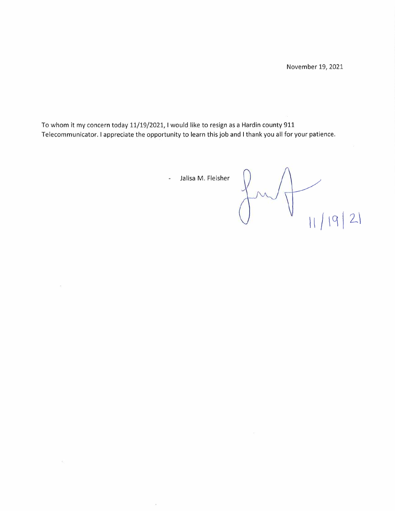To whom it my concern today 11/19/2021, I would like to resign as a Hardin county 911 Telecommunicator. I appreciate the opportunity to learn this job and I thank you all for your patience.

 $\geq$ 

 $\mathcal{B}_2$ 

 $\bar{1}$ 

Jalisa M. Fleisher  $\overline{\phantom{a}}$ 

 $11/19/21$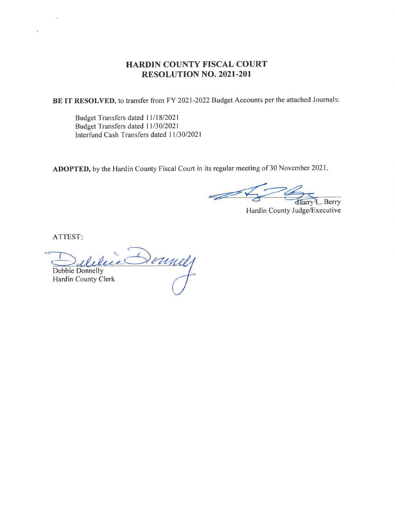### HARDIN COUNTY FISCAL COURT RESOLUTION NO. 2021.201

BE IT RESOLVED, to transfer from FY 2021-2022 Budget Accounts per the attached Journals:

Budget Transfers dated 11/18/2021 Budget Transfers dated 11/30/2021 Interfund Cash Transfers dated 11/30/2021

ADOPTED, by the Hardin County Fiscal Court in its regular meeting of 30 November 2021

-90 Harry L. Berry

Hardin County Judge/Executive

ATTEST

 $\overline{\phantom{0}}$ Donnel Debbie Donnelly Hardin County Clerk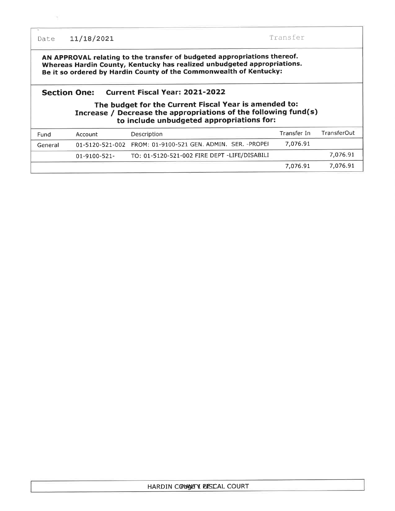Date 11/18/2021 Transfer

AN APPROVAL relating to the transfer of budgeted appropriations thereof. Whereas Hardin County, Kentucky has realized unbudgeted appropriations. Be it so ordered by Hardin County of the Commonwealth of Kentucky:

#### Section One: Current Fiscal Year: 2O2L-2O22

#### The budget for the Current Fiscal Year is amended to: Increase / Decrease the appropriations of the following fund(s) to include unbudgeted appropriations for:

| Fund    | Account             | Description                                                 | Transfer In | TransferOut |
|---------|---------------------|-------------------------------------------------------------|-------------|-------------|
| General |                     | 01-5120-521-002 FROM: 01-9100-521 GEN. ADMIN. SER. - PROPEH | 7.076.91    |             |
|         | $01 - 9100 - 521 -$ | TO: 01-5120-521-002 FIRE DEPT -LIFE/DISABILI                |             | 7,076.91    |
|         |                     |                                                             | 7.076.91    | 7.076.91    |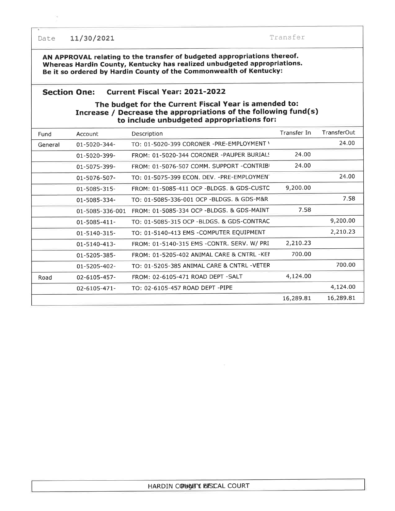Date 11/30/2021 Transfer

AN APPROVAL relating to the transfer of budgeted appropriations thereof. Whereas Hardin County, Kentucky has realized unbudgeted appropriations. Be it so ordered by Hardin County of the Commonwealth of Kentucky:

#### Section One: Current Fiscal Year: 2O2I-2O22

#### The budget for the Current Fiscal Year is amended to: Increase / Decrease the appropriations of the following fund(s) to include unbudgeted appropriations for:

| Fund    | Account             | Description                                | Transfer In | TransferOut |
|---------|---------------------|--------------------------------------------|-------------|-------------|
| General | 01-5020-344-        | TO: 01-5020-399 CORONER -PRE-EMPLOYMENT \  |             | 24.00       |
|         | 01-5020-399-        | FROM: 01-5020-344 CORONER -PAUPER BURIALS  | 24.00       |             |
|         | 01-5075-399-        | FROM: 01-5076-507 COMM. SUPPORT -CONTRIBI  | 24.00       |             |
|         | 01-5076-507-        | TO: 01-5075-399 ECON. DEV. - PRE-EMPLOYMEN |             | 24.00       |
|         | 01-5085-315-        | FROM: 01-5085-411 OCP -BLDGS. & GDS-CUSTC  | 9,200.00    |             |
|         | 01-5085-334-        | TO: 01-5085-336-001 OCP -BLDGS. & GDS-M&R  |             | 7.58        |
|         | 01-5085-336-001     | FROM: 01-5085-334 OCP -BLDGS. & GDS-MAINT  | 7.58        |             |
|         | 01-5085-411-        | TO: 01-5085-315 OCP -BLDGS. & GDS-CONTRAC  |             | 9,200.00    |
|         | $01 - 5140 - 315$ - | TO: 01-5140-413 EMS -COMPUTER EQUIPMENT    |             | 2,210.23    |
|         | 01-5140-413-        | FROM: 01-5140-315 EMS -CONTR. SERV. W/ PRI | 2,210.23    |             |
|         | 01-5205-385-        | FROM: 01-5205-402 ANIMAL CARE & CNTRL -KEI | 700.00      |             |
|         | 01-5205-402-        | TO: 01-5205-385 ANIMAL CARE & CNTRL -VETER |             | 700.00      |
| Road    | 02-6105-457-        | FROM: 02-6105-471 ROAD DEPT -SALT          | 4,124.00    |             |
|         | 02-6105-471-        | TO: 02-6105-457 ROAD DEPT -PIPE            |             | 4,124.00    |
|         |                     |                                            | 16,289.81   | 16,289.81   |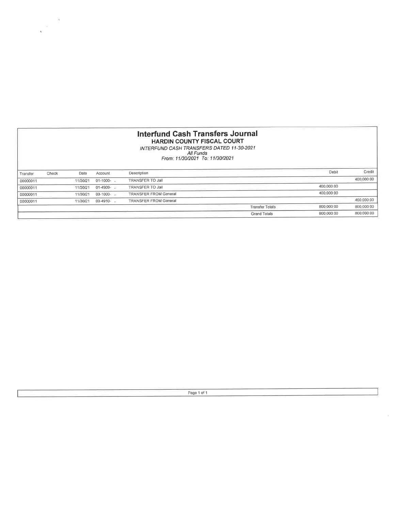#### lnterfund Cash Transfers Journal HARDIN COUNTY FISCAL COURT

 $\frac{1}{2}a = \frac{3}{2}$ 

 $\zeta$ 

NTERFUND CASH TRANSFERS DATED 11-30-2021<br>All Funds<br>From: 11/30/2021 To: 11/30/2021

| Credit<br>Debit                                      |
|------------------------------------------------------|
|                                                      |
| 400,000.00                                           |
|                                                      |
|                                                      |
| 400,000.00                                           |
| 800,000.00                                           |
| 800,000.00                                           |
| 400,000.00<br>400,000.00<br>800,000.00<br>800,000.00 |

Page 1 of 1

 $\tilde{\mathcal{L}}$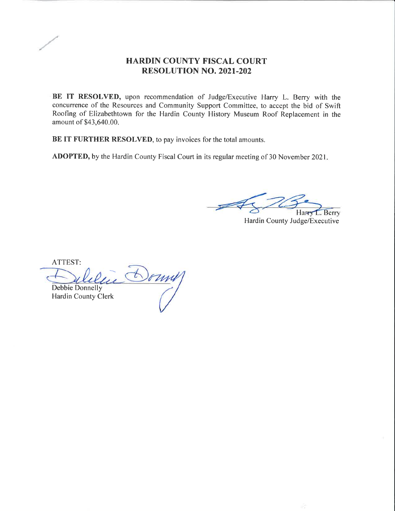

## HARDIN COUNTY FISCAL COURT RESOLUTION NO. 2021.202

BE IT RESOLVED, upon recommendation of Judge/Executive Harry L. Berry with the concurrence of the Resources and Community Support Committee, to accept the bid of Swift Roofing of Elizabethtown for the Hardin County History Museum Roof Replacement in the amount of \$43,640.00.

BE IT FURTHER RESOLVED, to pay invoices for the total amounts.

ADOPTED, by the Hardin County Fiscal Court in its regular meeting of 30 November 2021

. Berry

Hardin County Judge/Executive

ATTEST: Domy Debbie Donnelly Hardin County Clerk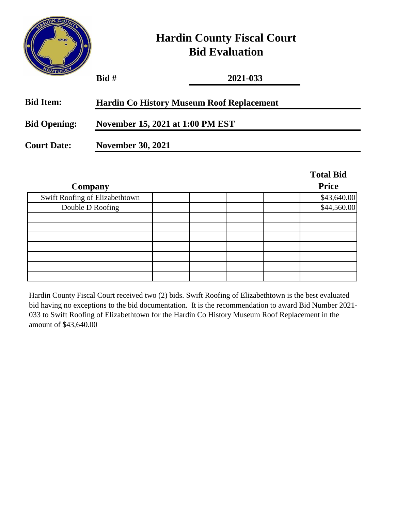

# **Hardin County Fiscal Court Bid Evaluation**

| שטוייב              | $B$ id #                                         | 2021-033 |                  |  |
|---------------------|--------------------------------------------------|----------|------------------|--|
| <b>Bid Item:</b>    | <b>Hardin Co History Museum Roof Replacement</b> |          |                  |  |
| <b>Bid Opening:</b> | November 15, 2021 at 1:00 PM EST                 |          |                  |  |
| <b>Court Date:</b>  | <b>November 30, 2021</b>                         |          |                  |  |
|                     |                                                  |          | <b>Total Bid</b> |  |
|                     | Company                                          |          | <b>Price</b>     |  |
|                     | Swift Roofing of Elizabethtown                   |          | \$43,640.00      |  |
| Double D Roofing    |                                                  |          | \$44,560.00      |  |

Hardin County Fiscal Court received two (2) bids. Swift Roofing of Elizabethtown is the best evaluated bid having no exceptions to the bid documentation. It is the recommendation to award Bid Number 2021- 033 to Swift Roofing of Elizabethtown for the Hardin Co History Museum Roof Replacement in the amount of \$43,640.00